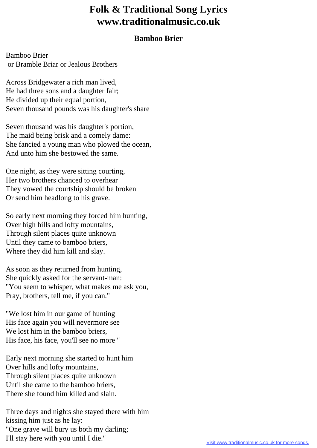## **Folk & Traditional Song Lyrics www.traditionalmusic.co.uk**

## **Bamboo Brier**

Bamboo Brier or Bramble Briar or Jealous Brothers

Across Bridgewater a rich man lived, He had three sons and a daughter fair; He divided up their equal portion, Seven thousand pounds was his daughter's share

Seven thousand was his daughter's portion, The maid being brisk and a comely dame: She fancied a young man who plowed the ocean, And unto him she bestowed the same.

One night, as they were sitting courting, Her two brothers chanced to overhear They vowed the courtship should be broken Or send him headlong to his grave.

So early next morning they forced him hunting, Over high hills and lofty mountains, Through silent places quite unknown Until they came to bamboo briers, Where they did him kill and slay.

As soon as they returned from hunting, She quickly asked for the servant-man: "You seem to whisper, what makes me ask you, Pray, brothers, tell me, if you can."

"We lost him in our game of hunting His face again you will nevermore see We lost him in the bamboo briers, His face, his face, you'll see no more "

Early next morning she started to hunt him Over hills and lofty mountains, Through silent places quite unknown Until she came to the bamboo briers, There she found him killed and slain.

Three days and nights she stayed there with him kissing him just as he lay: "One grave will bury us both my darling; I'll stay here with you until I die."